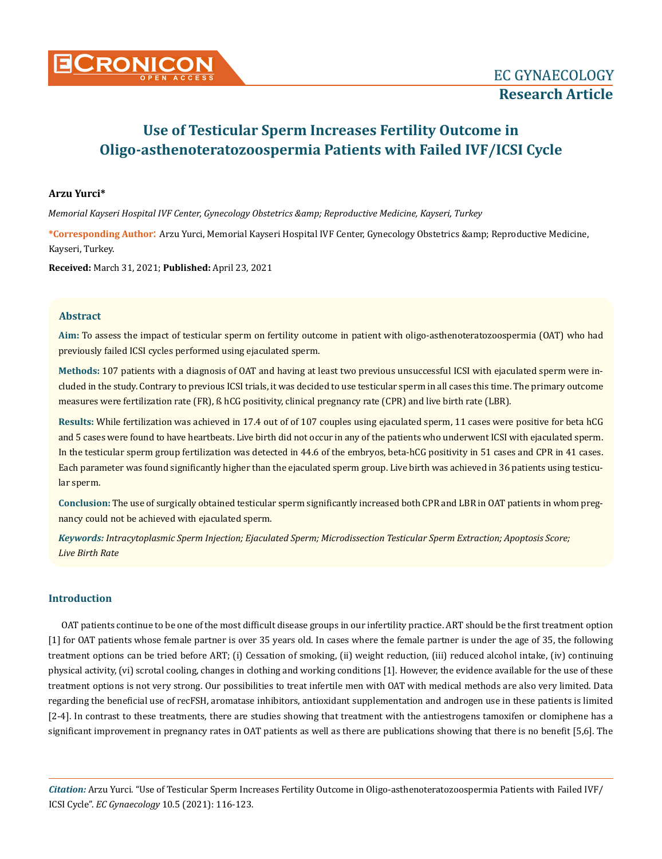# **Use of Testicular Sperm Increases Fertility Outcome in Oligo-asthenoteratozoospermia Patients with Failed IVF/ICSI Cycle**

## **Arzu Yurci\***

*Memorial Kayseri Hospital IVF Center, Gynecology Obstetrics & Reproductive Medicine, Kayseri, Turkey*

\*Corresponding Author: Arzu Yurci, Memorial Kayseri Hospital IVF Center, Gynecology Obstetrics & amp; Reproductive Medicine, Kayseri, Turkey.

**Received:** March 31, 2021; **Published:** April 23, 2021

## **Abstract**

**Aim:** To assess the impact of testicular sperm on fertility outcome in patient with oligo-asthenoteratozoospermia (OAT) who had previously failed ICSI cycles performed using ejaculated sperm.

**Methods:** 107 patients with a diagnosis of OAT and having at least two previous unsuccessful ICSI with ejaculated sperm were included in the study. Contrary to previous ICSI trials, it was decided to use testicular sperm in all cases this time. The primary outcome measures were fertilization rate (FR), ß hCG positivity, clinical pregnancy rate (CPR) and live birth rate (LBR).

**Results:** While fertilization was achieved in 17.4 out of of 107 couples using ejaculated sperm, 11 cases were positive for beta hCG and 5 cases were found to have heartbeats. Live birth did not occur in any of the patients who underwent ICSI with ejaculated sperm. In the testicular sperm group fertilization was detected in 44.6 of the embryos, beta-hCG positivity in 51 cases and CPR in 41 cases. Each parameter was found significantly higher than the ejaculated sperm group. Live birth was achieved in 36 patients using testicular sperm.

**Conclusion:** The use of surgically obtained testicular sperm significantly increased both CPR and LBR in OAT patients in whom pregnancy could not be achieved with ejaculated sperm.

*Keywords: Intracytoplasmic Sperm Injection; Ejaculated Sperm; Microdissection Testicular Sperm Extraction; Apoptosis Score; Live Birth Rate*

## **Introduction**

OAT patients continue to be one of the most difficult disease groups in our infertility practice. ART should be the first treatment option [1] for OAT patients whose female partner is over 35 years old. In cases where the female partner is under the age of 35, the following treatment options can be tried before ART; (i) Cessation of smoking, (ii) weight reduction, (iii) reduced alcohol intake, (iv) continuing physical activity, (vi) scrotal cooling, changes in clothing and working conditions [1]. However, the evidence available for the use of these treatment options is not very strong. Our possibilities to treat infertile men with OAT with medical methods are also very limited. Data regarding the beneficial use of recFSH, aromatase inhibitors, antioxidant supplementation and androgen use in these patients is limited [2-4]. In contrast to these treatments, there are studies showing that treatment with the antiestrogens tamoxifen or clomiphene has a significant improvement in pregnancy rates in OAT patients as well as there are publications showing that there is no benefit [5,6]. The

*Citation:* Arzu Yurci. "Use of Testicular Sperm Increases Fertility Outcome in Oligo-asthenoteratozoospermia Patients with Failed IVF/ ICSI Cycle". *EC Gynaecology* 10.5 (2021): 116-123.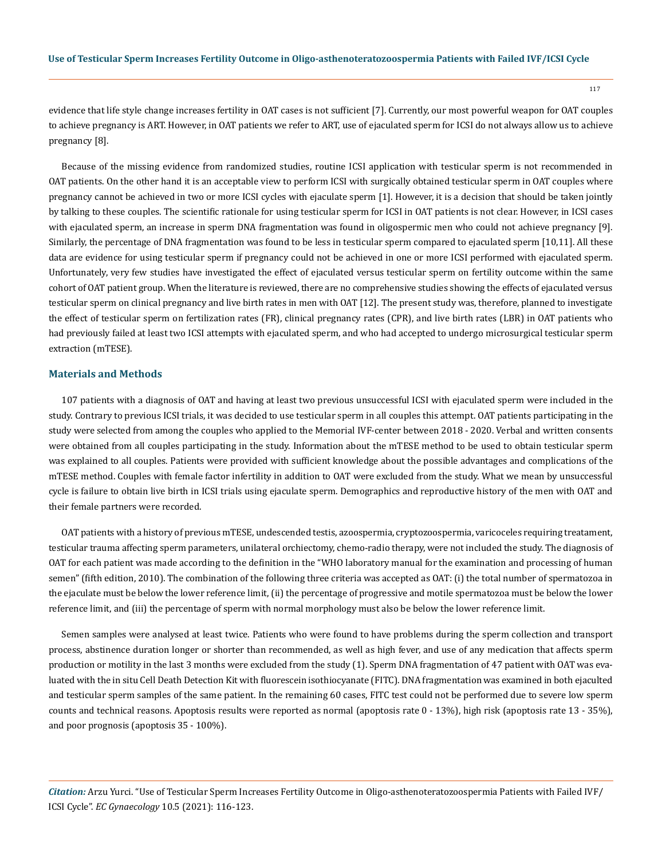evidence that life style change increases fertility in OAT cases is not sufficient [7]. Currently, our most powerful weapon for OAT couples to achieve pregnancy is ART. However, in OAT patients we refer to ART, use of ejaculated sperm for ICSI do not always allow us to achieve pregnancy [8].

Because of the missing evidence from randomized studies, routine ICSI application with testicular sperm is not recommended in OAT patients. On the other hand it is an acceptable view to perform ICSI with surgically obtained testicular sperm in OAT couples where pregnancy cannot be achieved in two or more ICSI cycles with ejaculate sperm [1]. However, it is a decision that should be taken jointly by talking to these couples. The scientific rationale for using testicular sperm for ICSI in OAT patients is not clear. However, in ICSI cases with ejaculated sperm, an increase in sperm DNA fragmentation was found in oligospermic men who could not achieve pregnancy [9]. Similarly, the percentage of DNA fragmentation was found to be less in testicular sperm compared to ejaculated sperm [10,11]. All these data are evidence for using testicular sperm if pregnancy could not be achieved in one or more ICSI performed with ejaculated sperm. Unfortunately, very few studies have investigated the effect of ejaculated versus testicular sperm on fertility outcome within the same cohort of OAT patient group. When the literature is reviewed, there are no comprehensive studies showing the effects of ejaculated versus testicular sperm on clinical pregnancy and live birth rates in men with OAT [12]. The present study was, therefore, planned to investigate the effect of testicular sperm on fertilization rates (FR), clinical pregnancy rates (CPR), and live birth rates (LBR) in OAT patients who had previously failed at least two ICSI attempts with ejaculated sperm, and who had accepted to undergo microsurgical testicular sperm extraction (mTESE).

## **Materials and Methods**

107 patients with a diagnosis of OAT and having at least two previous unsuccessful ICSI with ejaculated sperm were included in the study. Contrary to previous ICSI trials, it was decided to use testicular sperm in all couples this attempt. OAT patients participating in the study were selected from among the couples who applied to the Memorial IVF-center between 2018 - 2020. Verbal and written consents were obtained from all couples participating in the study. Information about the mTESE method to be used to obtain testicular sperm was explained to all couples. Patients were provided with sufficient knowledge about the possible advantages and complications of the mTESE method. Couples with female factor infertility in addition to OAT were excluded from the study. What we mean by unsuccessful cycle is failure to obtain live birth in ICSI trials using ejaculate sperm. Demographics and reproductive history of the men with OAT and their female partners were recorded.

OAT patients with a history of previous mTESE, undescended testis, azoospermia, cryptozoospermia, varicoceles requiring treatament, testicular trauma affecting sperm parameters, unilateral orchiectomy, chemo-radio therapy, were not included the study. The diagnosis of OAT for each patient was made according to the definition in the "WHO laboratory manual for the examination and processing of human semen" (fifth edition, 2010). The combination of the following three criteria was accepted as OAT: (i) the total number of spermatozoa in the ejaculate must be below the lower reference limit, (ii) the percentage of progressive and motile spermatozoa must be below the lower reference limit, and (iii) the percentage of sperm with normal morphology must also be below the lower reference limit.

Semen samples were analysed at least twice. Patients who were found to have problems during the sperm collection and transport process, abstinence duration longer or shorter than recommended, as well as high fever, and use of any medication that affects sperm production or motility in the last 3 months were excluded from the study (1). Sperm DNA fragmentation of 47 patient with OAT was evaluated with the in situ Cell Death Detection Kit with fluorescein isothiocyanate (FITC). DNA fragmentation was examined in both ejaculted and testicular sperm samples of the same patient. In the remaining 60 cases, FITC test could not be performed due to severe low sperm counts and technical reasons. Apoptosis results were reported as normal (apoptosis rate 0 - 13%), high risk (apoptosis rate 13 - 35%), and poor prognosis (apoptosis 35 - 100%).

*Citation:* Arzu Yurci. "Use of Testicular Sperm Increases Fertility Outcome in Oligo-asthenoteratozoospermia Patients with Failed IVF/ ICSI Cycle". *EC Gynaecology* 10.5 (2021): 116-123.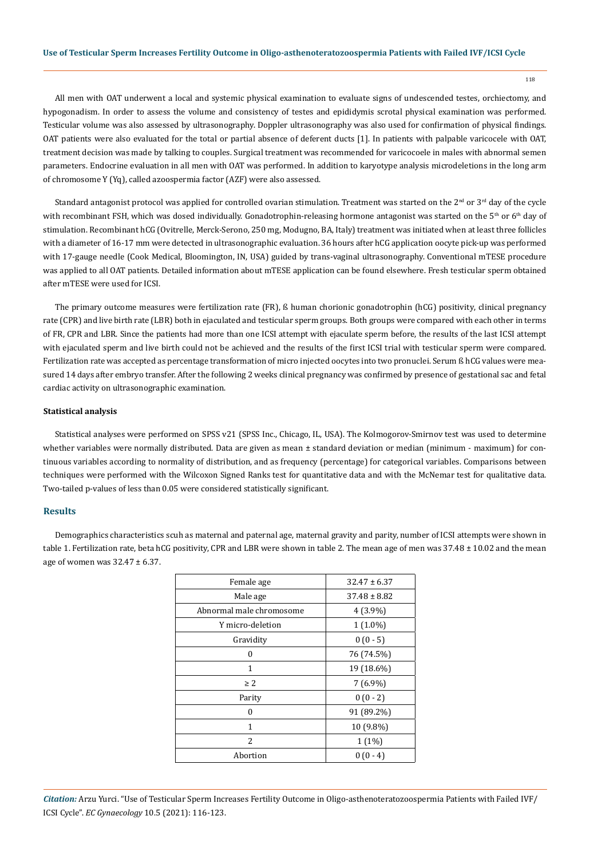#### **Use of Testicular Sperm Increases Fertility Outcome in Oligo-asthenoteratozoospermia Patients with Failed IVF/ICSI Cycle**

118

All men with OAT underwent a local and systemic physical examination to evaluate signs of undescended testes, orchiectomy, and hypogonadism. In order to assess the volume and consistency of testes and epididymis scrotal physical examination was performed. Testicular volume was also assessed by ultrasonography. Doppler ultrasonography was also used for confirmation of physical findings. OAT patients were also evaluated for the total or partial absence of deferent ducts [1]. In patients with palpable varicocele with OAT, treatment decision was made by talking to couples. Surgical treatment was recommended for varicocoele in males with abnormal semen parameters. Endocrine evaluation in all men with OAT was performed. In addition to karyotype analysis microdeletions in the long arm of chromosome Y (Yq), called azoospermia factor (AZF) were also assessed.

Standard antagonist protocol was applied for controlled ovarian stimulation. Treatment was started on the  $2<sup>nd</sup>$  or  $3<sup>rd</sup>$  day of the cycle with recombinant FSH, which was dosed individually. Gonadotrophin-releasing hormone antagonist was started on the  $5<sup>th</sup>$  or  $6<sup>th</sup>$  day of stimulation. Recombinant hCG (Ovitrelle, Merck-Serono, 250 mg, Modugno, BA, Italy) treatment was initiated when at least three follicles with a diameter of 16-17 mm were detected in ultrasonographic evaluation. 36 hours after hCG application oocyte pick-up was performed with 17-gauge needle (Cook Medical, Bloomington, IN, USA) guided by trans-vaginal ultrasonography. Conventional mTESE procedure was applied to all OAT patients. Detailed information about mTESE application can be found elsewhere. Fresh testicular sperm obtained after mTESE were used for ICSI.

The primary outcome measures were fertilization rate (FR), ß human chorionic gonadotrophin (hCG) positivity, clinical pregnancy rate (CPR) and live birth rate (LBR) both in ejaculated and testicular sperm groups. Both groups were compared with each other in terms of FR, CPR and LBR. Since the patients had more than one ICSI attempt with ejaculate sperm before, the results of the last ICSI attempt with ejaculated sperm and live birth could not be achieved and the results of the first ICSI trial with testicular sperm were compared. Fertilization rate was accepted as percentage transformation of micro injected oocytes into two pronuclei. Serum ß hCG values were measured 14 days after embryo transfer. After the following 2 weeks clinical pregnancy was confirmed by presence of gestational sac and fetal cardiac activity on ultrasonographic examination.

#### **Statistical analysis**

Statistical analyses were performed on SPSS v21 (SPSS Inc., Chicago, IL, USA). The Kolmogorov-Smirnov test was used to determine whether variables were normally distributed. Data are given as mean ± standard deviation or median (minimum - maximum) for continuous variables according to normality of distribution, and as frequency (percentage) for categorical variables. Comparisons between techniques were performed with the Wilcoxon Signed Ranks test for quantitative data and with the McNemar test for qualitative data. Two-tailed p-values of less than 0.05 were considered statistically significant.

#### **Results**

Demographics characteristics scuh as maternal and paternal age, maternal gravity and parity, number of ICSI attempts were shown in table 1. Fertilization rate, beta hCG positivity, CPR and LBR were shown in table 2. The mean age of men was 37.48  $\pm$  10.02 and the mean age of women was  $32.47 \pm 6.37$ .

| Female age               | $32.47 \pm 6.37$ |  |
|--------------------------|------------------|--|
| Male age                 | $37.48 \pm 8.82$ |  |
| Abnormal male chromosome | $4(3.9\%)$       |  |
| Y micro-deletion         | $1(1.0\%)$       |  |
| Gravidity                | $0(0-5)$         |  |
| 0                        | 76 (74.5%)       |  |
| 1                        | 19 (18.6%)       |  |
| $\geq 2$                 | $7(6.9\%)$       |  |
| Parity                   | $0(0-2)$         |  |
| 0                        | 91 (89.2%)       |  |
| 1                        | 10 (9.8%)        |  |
| $\overline{c}$           | $1(1\%)$         |  |
| Abortion                 | $0(0-4)$         |  |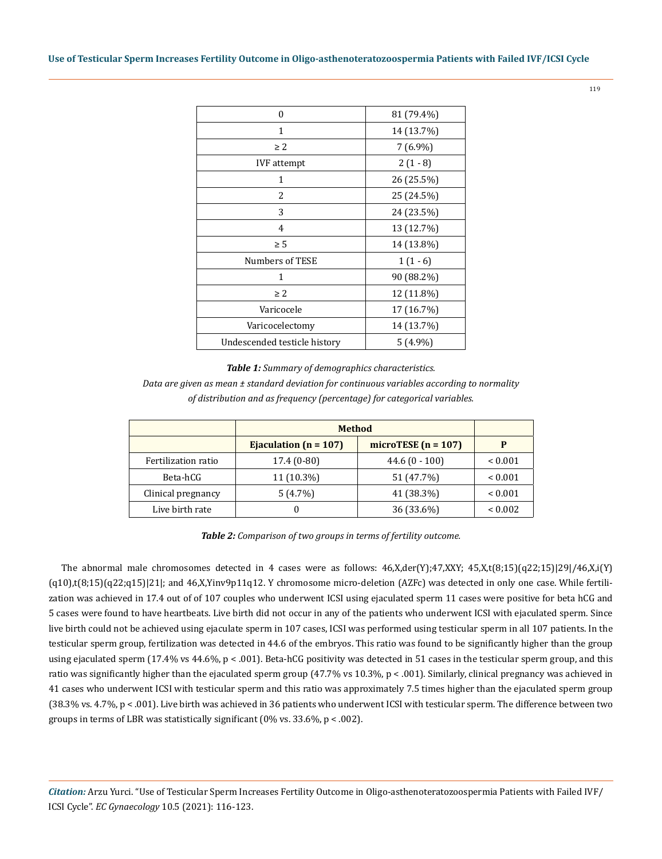| $\theta$                     | 81 (79.4%) |  |
|------------------------------|------------|--|
| 1                            | 14 (13.7%) |  |
| $\geq 2$                     | $7(6.9\%)$ |  |
| <b>IVF</b> attempt           | $2(1-8)$   |  |
| 1                            | 26 (25.5%) |  |
| 2                            | 25 (24.5%) |  |
| 3                            | 24 (23.5%) |  |
| $\overline{4}$               | 13 (12.7%) |  |
| $\geq 5$                     | 14 (13.8%) |  |
| Numbers of TESE              | $1(1-6)$   |  |
| 1                            | 90 (88.2%) |  |
| $\geq 2$                     | 12 (11.8%) |  |
| Varicocele                   | 17 (16.7%) |  |
| Varicocelectomy              | 14 (13.7%) |  |
| Undescended testicle history | $5(4.9\%)$ |  |

*Table 1: Summary of demographics characteristics. Data are given as mean ± standard deviation for continuous variables according to normality of distribution and as frequency (percentage) for categorical variables.*

|                     | <b>Method</b>             |                       |              |
|---------------------|---------------------------|-----------------------|--------------|
|                     | Ejaculation ( $n = 107$ ) | microTESE $(n = 107)$ |              |
| Fertilization ratio | $17.4(0-80)$              | $44.6(0 - 100)$       | ${}_{0.001}$ |
| Beta-hCG            | $11(10.3\%)$              | 51 (47.7%)            | ${}_{0.001}$ |
| Clinical pregnancy  | 5(4.7%)                   | 41 (38.3%)            | ${}_{0.001}$ |
| Live birth rate     |                           | 36 (33.6%)            | ${}_{0.002}$ |

*Table 2: Comparison of two groups in terms of fertility outcome.*

The abnormal male chromosomes detected in 4 cases were as follows:  $46$ , $X$ ,der $(Y)$ ; $47$ , $XXY$ ;  $45$ , $X$ ,t $(8;15)$  $(q22;15)$  $(29/46$ , $X$ ,i $(Y)$  $(q10)$ ,t $(8;15)(q22;q15)|21|$ ; and  $46$ ,X,Yinv9p11q12. Y chromosome micro-deletion (AZFc) was detected in only one case. While fertilization was achieved in 17.4 out of of 107 couples who underwent ICSI using ejaculated sperm 11 cases were positive for beta hCG and 5 cases were found to have heartbeats. Live birth did not occur in any of the patients who underwent ICSI with ejaculated sperm. Since live birth could not be achieved using ejaculate sperm in 107 cases, ICSI was performed using testicular sperm in all 107 patients. In the testicular sperm group, fertilization was detected in 44.6 of the embryos. This ratio was found to be significantly higher than the group using ejaculated sperm (17.4% vs 44.6%, p < .001). Beta-hCG positivity was detected in 51 cases in the testicular sperm group, and this ratio was significantly higher than the ejaculated sperm group (47.7% vs 10.3%, p < .001). Similarly, clinical pregnancy was achieved in 41 cases who underwent ICSI with testicular sperm and this ratio was approximately 7.5 times higher than the ejaculated sperm group (38.3% vs. 4.7%, p < .001). Live birth was achieved in 36 patients who underwent ICSI with testicular sperm. The difference between two groups in terms of LBR was statistically significant (0% vs. 33.6%, p < .002).

*Citation:* Arzu Yurci. "Use of Testicular Sperm Increases Fertility Outcome in Oligo-asthenoteratozoospermia Patients with Failed IVF/ ICSI Cycle". *EC Gynaecology* 10.5 (2021): 116-123.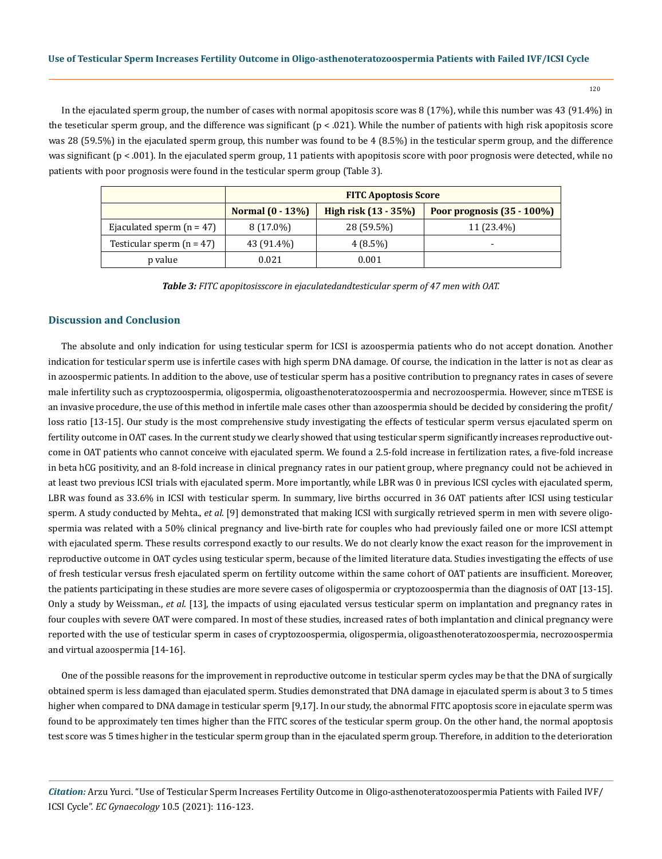120

In the ejaculated sperm group, the number of cases with normal apopitosis score was 8 (17%), while this number was 43 (91.4%) in the teseticular sperm group, and the difference was significant ( $p < .021$ ). While the number of patients with high risk apopitosis score was 28 (59.5%) in the ejaculated sperm group, this number was found to be 4 (8.5%) in the testicular sperm group, and the difference was significant ( $p < .001$ ). In the ejaculated sperm group, 11 patients with apopitosis score with poor prognosis were detected, while no patients with poor prognosis were found in the testicular sperm group (Table 3).

|                             | <b>FITC Apoptosis Score</b> |                        |                               |
|-----------------------------|-----------------------------|------------------------|-------------------------------|
|                             | Normal $(0 - 13\%)$         | High risk $(13 - 35%)$ | Poor prognosis $(35 - 100\%)$ |
| Ejaculated sperm $(n = 47)$ | $8(17.0\%)$                 | 28 (59.5%)             | 11 (23.4%)                    |
| Testicular sperm $(n = 47)$ | 43 (91.4%)                  | $4(8.5\%)$             | $\overline{\phantom{0}}$      |
| p value                     | 0.021                       | 0.001                  |                               |

*Table 3: FITC apopitosisscore in ejaculatedandtesticular sperm of 47 men with OAT.*

#### **Discussion and Conclusion**

The absolute and only indication for using testicular sperm for ICSI is azoospermia patients who do not accept donation. Another indication for testicular sperm use is infertile cases with high sperm DNA damage. Of course, the indication in the latter is not as clear as in azoospermic patients. In addition to the above, use of testicular sperm has a positive contribution to pregnancy rates in cases of severe male infertility such as cryptozoospermia, oligospermia, oligoasthenoteratozoospermia and necrozoospermia. However, since mTESE is an invasive procedure, the use of this method in infertile male cases other than azoospermia should be decided by considering the profit/ loss ratio [13-15]. Our study is the most comprehensive study investigating the effects of testicular sperm versus ejaculated sperm on fertility outcome in OAT cases. In the current study we clearly showed that using testicular sperm significantly increases reproductive outcome in OAT patients who cannot conceive with ejaculated sperm. We found a 2.5-fold increase in fertilization rates, a five-fold increase in beta hCG positivity, and an 8-fold increase in clinical pregnancy rates in our patient group, where pregnancy could not be achieved in at least two previous ICSI trials with ejaculated sperm. More importantly, while LBR was 0 in previous ICSI cycles with ejaculated sperm, LBR was found as 33.6% in ICSI with testicular sperm. In summary, live births occurred in 36 OAT patients after ICSI using testicular sperm. A study conducted by Mehta., *et al*. [9] demonstrated that making ICSI with surgically retrieved sperm in men with severe oligospermia was related with a 50% clinical pregnancy and live-birth rate for couples who had previously failed one or more ICSI attempt with ejaculated sperm. These results correspond exactly to our results. We do not clearly know the exact reason for the improvement in reproductive outcome in OAT cycles using testicular sperm, because of the limited literature data. Studies investigating the effects of use of fresh testicular versus fresh ejaculated sperm on fertility outcome within the same cohort of OAT patients are insufficient. Moreover, the patients participating in these studies are more severe cases of oligospermia or cryptozoospermia than the diagnosis of OAT [13-15]. Only a study by Weissman., *et al*. [13], the impacts of using ejaculated versus testicular sperm on implantation and pregnancy rates in four couples with severe OAT were compared. In most of these studies, increased rates of both implantation and clinical pregnancy were reported with the use of testicular sperm in cases of cryptozoospermia, oligospermia, oligoasthenoteratozoospermia, necrozoospermia and virtual azoospermia [14-16].

One of the possible reasons for the improvement in reproductive outcome in testicular sperm cycles may be that the DNA of surgically obtained sperm is less damaged than ejaculated sperm. Studies demonstrated that DNA damage in ejaculated sperm is about 3 to 5 times higher when compared to DNA damage in testicular sperm [9,17]. In our study, the abnormal FITC apoptosis score in ejaculate sperm was found to be approximately ten times higher than the FITC scores of the testicular sperm group. On the other hand, the normal apoptosis test score was 5 times higher in the testicular sperm group than in the ejaculated sperm group. Therefore, in addition to the deterioration

*Citation:* Arzu Yurci. "Use of Testicular Sperm Increases Fertility Outcome in Oligo-asthenoteratozoospermia Patients with Failed IVF/ ICSI Cycle". *EC Gynaecology* 10.5 (2021): 116-123.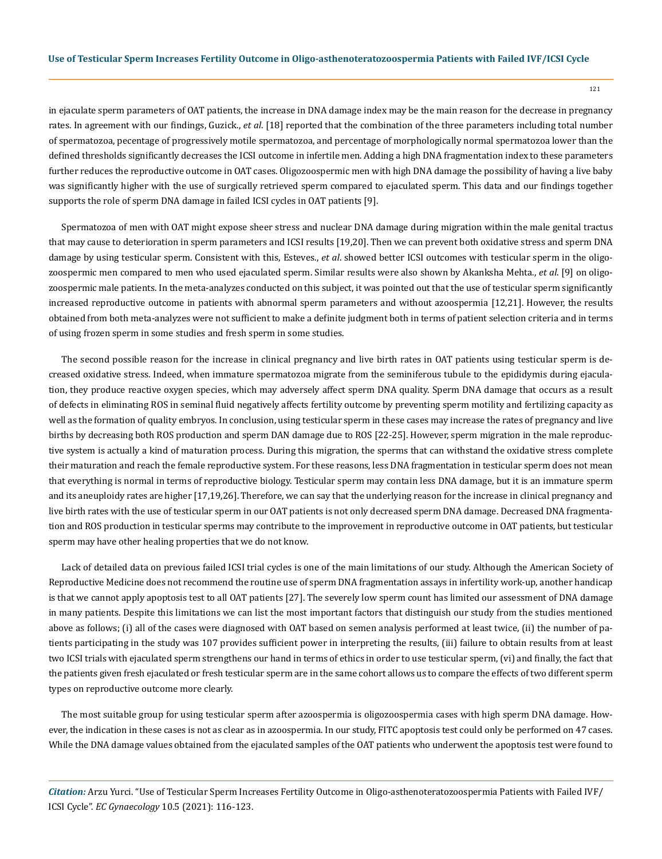in ejaculate sperm parameters of OAT patients, the increase in DNA damage index may be the main reason for the decrease in pregnancy rates. In agreement with our findings, Guzick., *et al*. [18] reported that the combination of the three parameters including total number of spermatozoa, pecentage of progressively motile spermatozoa, and percentage of morphologically normal spermatozoa lower than the defined thresholds significantly decreases the ICSI outcome in infertile men. Adding a high DNA fragmentation index to these parameters further reduces the reproductive outcome in OAT cases. Oligozoospermic men with high DNA damage the possibility of having a live baby was significantly higher with the use of surgically retrieved sperm compared to ejaculated sperm. This data and our findings together supports the role of sperm DNA damage in failed ICSI cycles in OAT patients [9].

Spermatozoa of men with OAT might expose sheer stress and nuclear DNA damage during migration within the male genital tractus that may cause to deterioration in sperm parameters and ICSI results [19,20]. Then we can prevent both oxidative stress and sperm DNA damage by using testicular sperm. Consistent with this, Esteves., *et al*. showed better ICSI outcomes with testicular sperm in the oligozoospermic men compared to men who used ejaculated sperm. Similar results were also shown by Akanksha Mehta., *et al*. [9] on oligozoospermic male patients. In the meta-analyzes conducted on this subject, it was pointed out that the use of testicular sperm significantly increased reproductive outcome in patients with abnormal sperm parameters and without azoospermia [12,21]. However, the results obtained from both meta-analyzes were not sufficient to make a definite judgment both in terms of patient selection criteria and in terms of using frozen sperm in some studies and fresh sperm in some studies.

The second possible reason for the increase in clinical pregnancy and live birth rates in OAT patients using testicular sperm is decreased oxidative stress. Indeed, when immature spermatozoa migrate from the seminiferous tubule to the epididymis during ejaculation, they produce reactive oxygen species, which may adversely affect sperm DNA quality. Sperm DNA damage that occurs as a result of defects in eliminating ROS in seminal fluid negatively affects fertility outcome by preventing sperm motility and fertilizing capacity as well as the formation of quality embryos. In conclusion, using testicular sperm in these cases may increase the rates of pregnancy and live births by decreasing both ROS production and sperm DAN damage due to ROS [22-25]. However, sperm migration in the male reproductive system is actually a kind of maturation process. During this migration, the sperms that can withstand the oxidative stress complete their maturation and reach the female reproductive system. For these reasons, less DNA fragmentation in testicular sperm does not mean that everything is normal in terms of reproductive biology. Testicular sperm may contain less DNA damage, but it is an immature sperm and its aneuploidy rates are higher [17,19,26]. Therefore, we can say that the underlying reason for the increase in clinical pregnancy and live birth rates with the use of testicular sperm in our OAT patients is not only decreased sperm DNA damage. Decreased DNA fragmentation and ROS production in testicular sperms may contribute to the improvement in reproductive outcome in OAT patients, but testicular sperm may have other healing properties that we do not know.

Lack of detailed data on previous failed ICSI trial cycles is one of the main limitations of our study. Although the American Society of Reproductive Medicine does not recommend the routine use of sperm DNA fragmentation assays in infertility work-up, another handicap is that we cannot apply apoptosis test to all OAT patients [27]. The severely low sperm count has limited our assessment of DNA damage in many patients. Despite this limitations we can list the most important factors that distinguish our study from the studies mentioned above as follows; (i) all of the cases were diagnosed with OAT based on semen analysis performed at least twice, (ii) the number of patients participating in the study was 107 provides sufficient power in interpreting the results, (iii) failure to obtain results from at least two ICSI trials with ejaculated sperm strengthens our hand in terms of ethics in order to use testicular sperm, (vi) and finally, the fact that the patients given fresh ejaculated or fresh testicular sperm are in the same cohort allows us to compare the effects of two different sperm types on reproductive outcome more clearly.

The most suitable group for using testicular sperm after azoospermia is oligozoospermia cases with high sperm DNA damage. However, the indication in these cases is not as clear as in azoospermia. In our study, FITC apoptosis test could only be performed on 47 cases. While the DNA damage values obtained from the ejaculated samples of the OAT patients who underwent the apoptosis test were found to

*Citation:* Arzu Yurci. "Use of Testicular Sperm Increases Fertility Outcome in Oligo-asthenoteratozoospermia Patients with Failed IVF/ ICSI Cycle". *EC Gynaecology* 10.5 (2021): 116-123.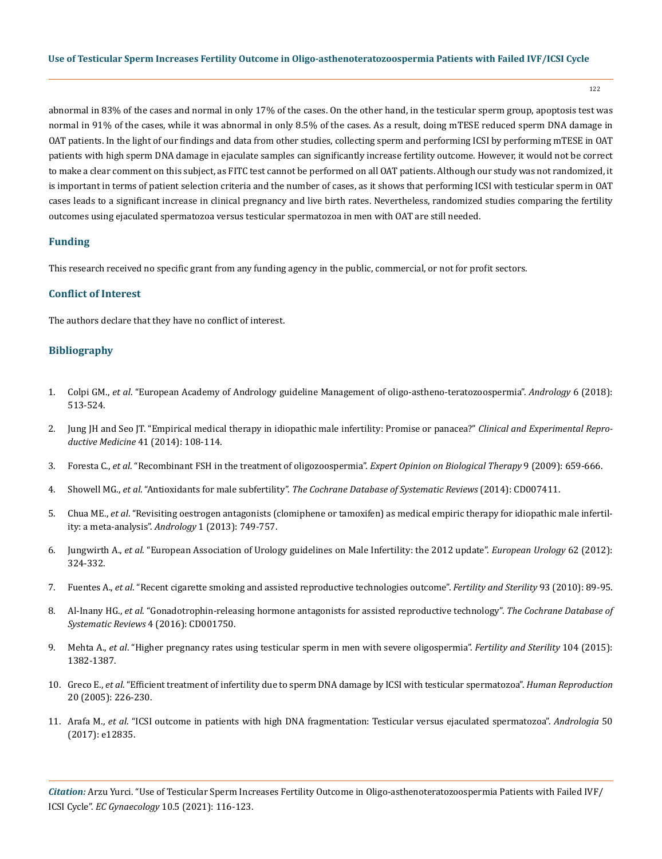122

abnormal in 83% of the cases and normal in only 17% of the cases. On the other hand, in the testicular sperm group, apoptosis test was normal in 91% of the cases, while it was abnormal in only 8.5% of the cases. As a result, doing mTESE reduced sperm DNA damage in OAT patients. In the light of our findings and data from other studies, collecting sperm and performing ICSI by performing mTESE in OAT patients with high sperm DNA damage in ejaculate samples can significantly increase fertility outcome. However, it would not be correct to make a clear comment on this subject, as FITC test cannot be performed on all OAT patients. Although our study was not randomized, it is important in terms of patient selection criteria and the number of cases, as it shows that performing ICSI with testicular sperm in OAT cases leads to a significant increase in clinical pregnancy and live birth rates. Nevertheless, randomized studies comparing the fertility outcomes using ejaculated spermatozoa versus testicular spermatozoa in men with OAT are still needed.

## **Funding**

This research received no specific grant from any funding agency in the public, commercial, or not for profit sectors.

#### **Conflict of Interest**

The authors declare that they have no conflict of interest.

## **Bibliography**

- 1. Colpi GM., *et al*[. "European Academy of Andrology guideline Management of oligo-astheno-teratozoospermia".](https://pubmed.ncbi.nlm.nih.gov/30134082/) *Andrology* 6 (2018): [513-524.](https://pubmed.ncbi.nlm.nih.gov/30134082/)
- 2. [Jung JH and Seo JT. "Empirical medical therapy in idiopathic male infertility: Promise or panacea?"](https://pubmed.ncbi.nlm.nih.gov/25309854/) *Clinical and Experimental Reproductive Medicine* [41 \(2014\): 108-114.](https://pubmed.ncbi.nlm.nih.gov/25309854/)
- 3. Foresta C., *et al*[. "Recombinant FSH in the treatment of oligozoospermia".](https://www.tandfonline.com/doi/abs/10.1517/14712590902932673) *Expert Opinion on Biological Therapy* 9 (2009): 659-666.
- 4. Showell MG., *et al*. "Antioxidants for male subfertility". *[The Cochrane Database of Systematic Reviews](https://pubmed.ncbi.nlm.nih.gov/21249690/)* (2014): CD007411.
- 5. Chua ME., *et al*[. "Revisiting oestrogen antagonists \(clomiphene or tamoxifen\) as medical empiric therapy for idiopathic male infertil](https://pubmed.ncbi.nlm.nih.gov/23970453/)[ity: a meta-analysis".](https://pubmed.ncbi.nlm.nih.gov/23970453/) *Andrology* 1 (2013): 749-757.
- 6. Jungwirth A., *et al*[. "European Association of Urology guidelines on Male Infertility: the 2012 update".](https://pubmed.ncbi.nlm.nih.gov/22591628/) *European Urology* 62 (2012): [324-332.](https://pubmed.ncbi.nlm.nih.gov/22591628/)
- 7. Fuentes A., *et al*[. "Recent cigarette smoking and assisted reproductive technologies outcome".](file:///C:\Users\EC\AppData\Local\Microsoft\Windows\INetCache\Content.Outlook\P9GGPLXX\v) *Fertility and Sterility* 93 (2010): 89-95.
- 8. Al-Inany HG., *et al*[. "Gonadotrophin-releasing hormone antagonists for assisted reproductive technology".](https://www.cochranelibrary.com/cdsr/doi/10.1002/14651858.CD001750.pub4/full) *The Cochrane Database of [Systematic Reviews](https://www.cochranelibrary.com/cdsr/doi/10.1002/14651858.CD001750.pub4/full)* 4 (2016): CD001750.
- 9. Mehta A., *et al*[. "Higher pregnancy rates using testicular sperm in men with severe oligospermia".](https://pubmed.ncbi.nlm.nih.gov/26363389/) *Fertility and Sterility* 104 (2015): [1382-1387.](https://pubmed.ncbi.nlm.nih.gov/26363389/)
- 10. Greco E., *et al*[. "Efficient treatment of infertility due to sperm DNA damage by ICSI with testicular spermatozoa".](https://pubmed.ncbi.nlm.nih.gov/15539441/) *Human Reproduction*  [20 \(2005\): 226-230.](https://pubmed.ncbi.nlm.nih.gov/15539441/)
- 11. Arafa M., *et al*[. "ICSI outcome in patients with high DNA fragmentation: Testicular versus ejaculated spermatozoa".](https://onlinelibrary.wiley.com/doi/abs/10.1111/and.12835) *Andrologia* 50 [\(2017\): e12835.](https://onlinelibrary.wiley.com/doi/abs/10.1111/and.12835)

*Citation:* Arzu Yurci. "Use of Testicular Sperm Increases Fertility Outcome in Oligo-asthenoteratozoospermia Patients with Failed IVF/ ICSI Cycle". *EC Gynaecology* 10.5 (2021): 116-123.